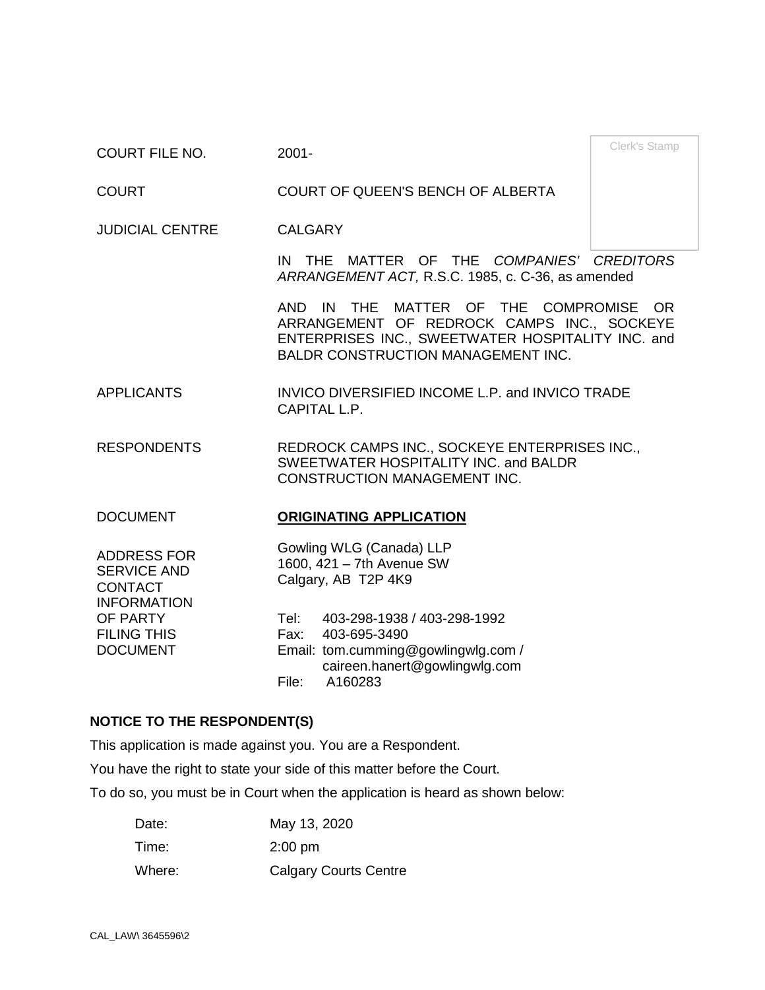Clerk's Stamp COURT FILE NO. 2001-

COURT COURT OF QUEEN'S BENCH OF ALBERTA

JUDICIAL CENTRE CALGARY

IN THE MATTER OF THE *COMPANIES' CREDITORS ARRANGEMENT ACT,* R.S.C. 1985, c. C-36, as amended

AND IN THE MATTER OF THE COMPROMISE OR ARRANGEMENT OF REDROCK CAMPS INC., SOCKEYE ENTERPRISES INC., SWEETWATER HOSPITALITY INC. and BALDR CONSTRUCTION MANAGEMENT INC.

APPLICANTS INVICO DIVERSIFIED INCOME L.P. and INVICO TRADE CAPITAL L.P.

RESPONDENTS REDROCK CAMPS INC., SOCKEYE ENTERPRISES INC., SWEETWATER HOSPITALITY INC. and BALDR CONSTRUCTION MANAGEMENT INC.

### DOCUMENT **ORIGINATING APPLICATION**

ADDRESS FOR SERVICE AND CONTACT INFORMATION OF PARTY FILING THIS DOCUMENT

Gowling WLG (Canada) LLP 1600, 421 – 7th Avenue SW Calgary, AB T2P 4K9

Tel: 403-298-1938 / 403-298-1992 Fax: 403-695-3490 Email: tom.cumming@gowlingwlg.com / caireen.hanert@gowlingwlg.com File: A160283

### **NOTICE TO THE RESPONDENT(S)**

This application is made against you. You are a Respondent.

You have the right to state your side of this matter before the Court.

To do so, you must be in Court when the application is heard as shown below:

| Date:  | May 13, 2020                 |
|--------|------------------------------|
| Time:  | $2:00 \text{ pm}$            |
| Where: | <b>Calgary Courts Centre</b> |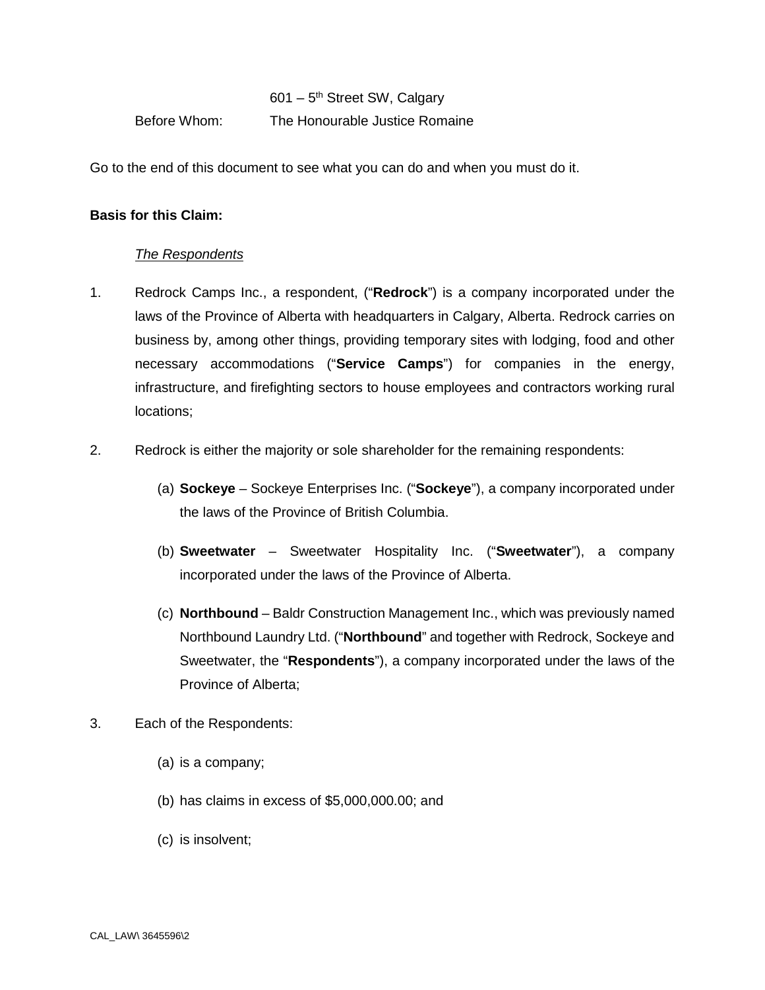601 – 5th Street SW, Calgary Before Whom: The Honourable Justice Romaine

Go to the end of this document to see what you can do and when you must do it.

## **Basis for this Claim:**

## *The Respondents*

- 1. Redrock Camps Inc., a respondent, ("**Redrock**") is a company incorporated under the laws of the Province of Alberta with headquarters in Calgary, Alberta. Redrock carries on business by, among other things, providing temporary sites with lodging, food and other necessary accommodations ("**Service Camps**") for companies in the energy, infrastructure, and firefighting sectors to house employees and contractors working rural locations;
- 2. Redrock is either the majority or sole shareholder for the remaining respondents:
	- (a) **Sockeye** Sockeye Enterprises Inc. ("**Sockeye**"), a company incorporated under the laws of the Province of British Columbia.
	- (b) **Sweetwater** Sweetwater Hospitality Inc. ("**Sweetwater**"), a company incorporated under the laws of the Province of Alberta.
	- (c) **Northbound** Baldr Construction Management Inc., which was previously named Northbound Laundry Ltd. ("**Northbound**" and together with Redrock, Sockeye and Sweetwater, the "**Respondents**"), a company incorporated under the laws of the Province of Alberta;
- 3. Each of the Respondents:
	- (a) is a company;
	- (b) has claims in excess of \$5,000,000.00; and
	- (c) is insolvent;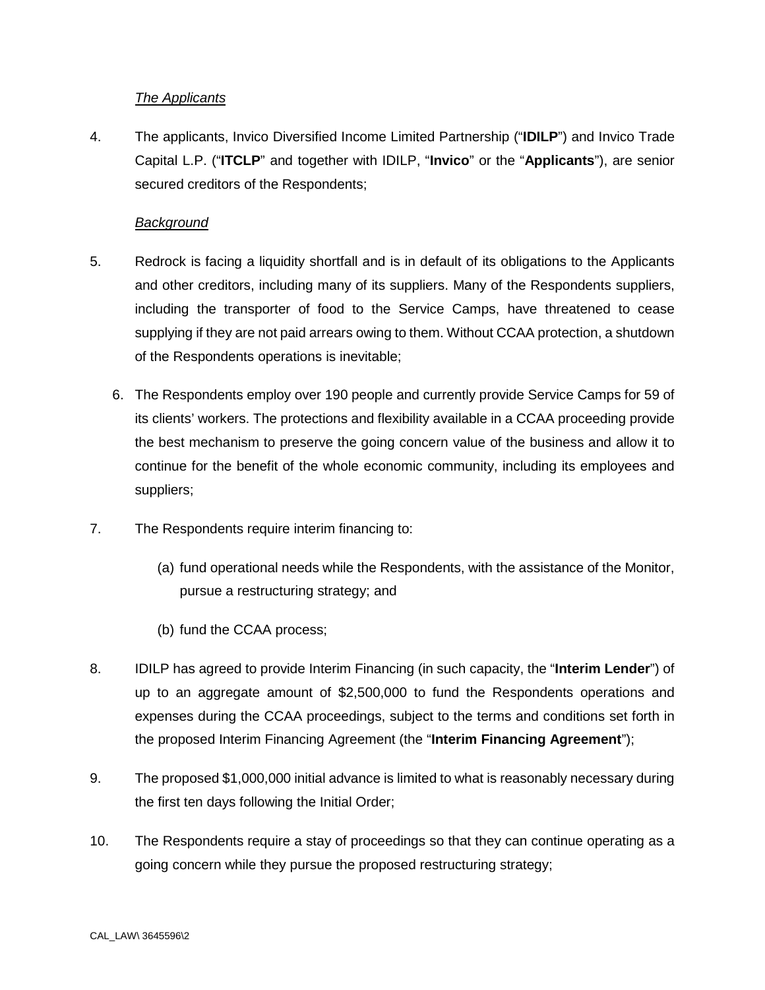# *The Applicants*

4. The applicants, Invico Diversified Income Limited Partnership ("**IDILP**") and Invico Trade Capital L.P. ("**ITCLP**" and together with IDILP, "**Invico**" or the "**Applicants**"), are senior secured creditors of the Respondents;

# *Background*

- 5. Redrock is facing a liquidity shortfall and is in default of its obligations to the Applicants and other creditors, including many of its suppliers. Many of the Respondents suppliers, including the transporter of food to the Service Camps, have threatened to cease supplying if they are not paid arrears owing to them. Without CCAA protection, a shutdown of the Respondents operations is inevitable;
	- 6. The Respondents employ over 190 people and currently provide Service Camps for 59 of its clients' workers. The protections and flexibility available in a CCAA proceeding provide the best mechanism to preserve the going concern value of the business and allow it to continue for the benefit of the whole economic community, including its employees and suppliers;
- 7. The Respondents require interim financing to:
	- (a) fund operational needs while the Respondents, with the assistance of the Monitor, pursue a restructuring strategy; and
	- (b) fund the CCAA process;
- 8. IDILP has agreed to provide Interim Financing (in such capacity, the "**Interim Lender**") of up to an aggregate amount of \$2,500,000 to fund the Respondents operations and expenses during the CCAA proceedings, subject to the terms and conditions set forth in the proposed Interim Financing Agreement (the "**Interim Financing Agreement**");
- 9. The proposed \$1,000,000 initial advance is limited to what is reasonably necessary during the first ten days following the Initial Order;
- 10. The Respondents require a stay of proceedings so that they can continue operating as a going concern while they pursue the proposed restructuring strategy;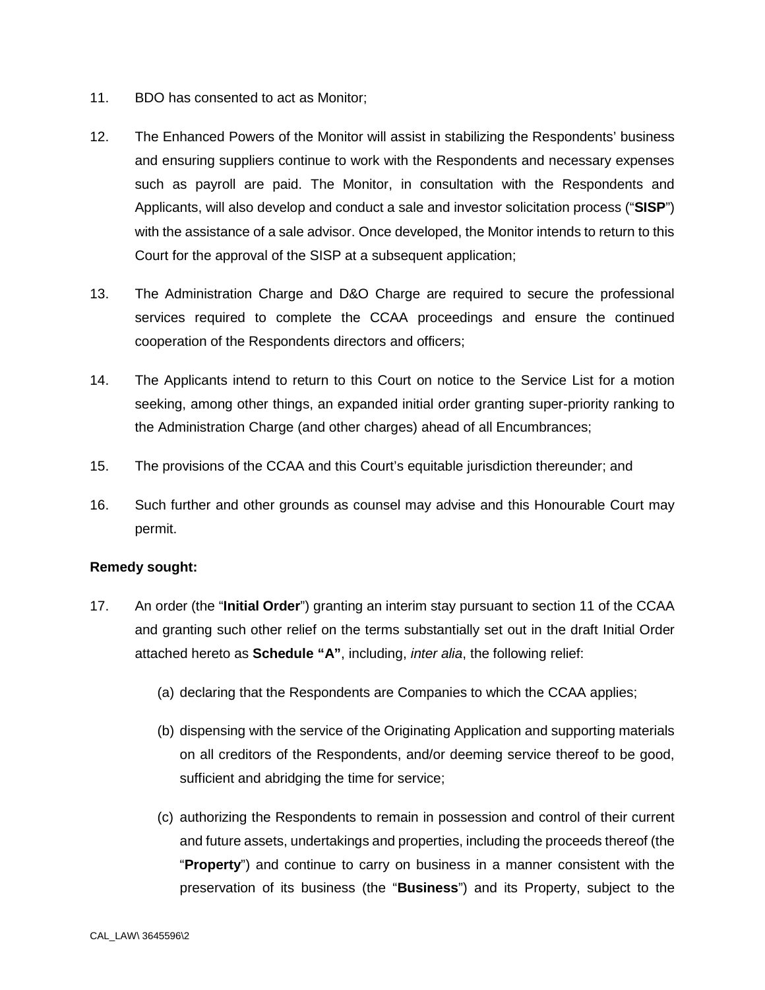- 11. BDO has consented to act as Monitor;
- 12. The Enhanced Powers of the Monitor will assist in stabilizing the Respondents' business and ensuring suppliers continue to work with the Respondents and necessary expenses such as payroll are paid. The Monitor, in consultation with the Respondents and Applicants, will also develop and conduct a sale and investor solicitation process ("**SISP**") with the assistance of a sale advisor. Once developed, the Monitor intends to return to this Court for the approval of the SISP at a subsequent application;
- 13. The Administration Charge and D&O Charge are required to secure the professional services required to complete the CCAA proceedings and ensure the continued cooperation of the Respondents directors and officers;
- 14. The Applicants intend to return to this Court on notice to the Service List for a motion seeking, among other things, an expanded initial order granting super-priority ranking to the Administration Charge (and other charges) ahead of all Encumbrances;
- 15. The provisions of the CCAA and this Court's equitable jurisdiction thereunder; and
- 16. Such further and other grounds as counsel may advise and this Honourable Court may permit.

# **Remedy sought:**

- 17. An order (the "**Initial Order**") granting an interim stay pursuant to section 11 of the CCAA and granting such other relief on the terms substantially set out in the draft Initial Order attached hereto as **Schedule "A"**, including, *inter alia*, the following relief:
	- (a) declaring that the Respondents are Companies to which the CCAA applies;
	- (b) dispensing with the service of the Originating Application and supporting materials on all creditors of the Respondents, and/or deeming service thereof to be good, sufficient and abridging the time for service;
	- (c) authorizing the Respondents to remain in possession and control of their current and future assets, undertakings and properties, including the proceeds thereof (the "**Property**") and continue to carry on business in a manner consistent with the preservation of its business (the "**Business**") and its Property, subject to the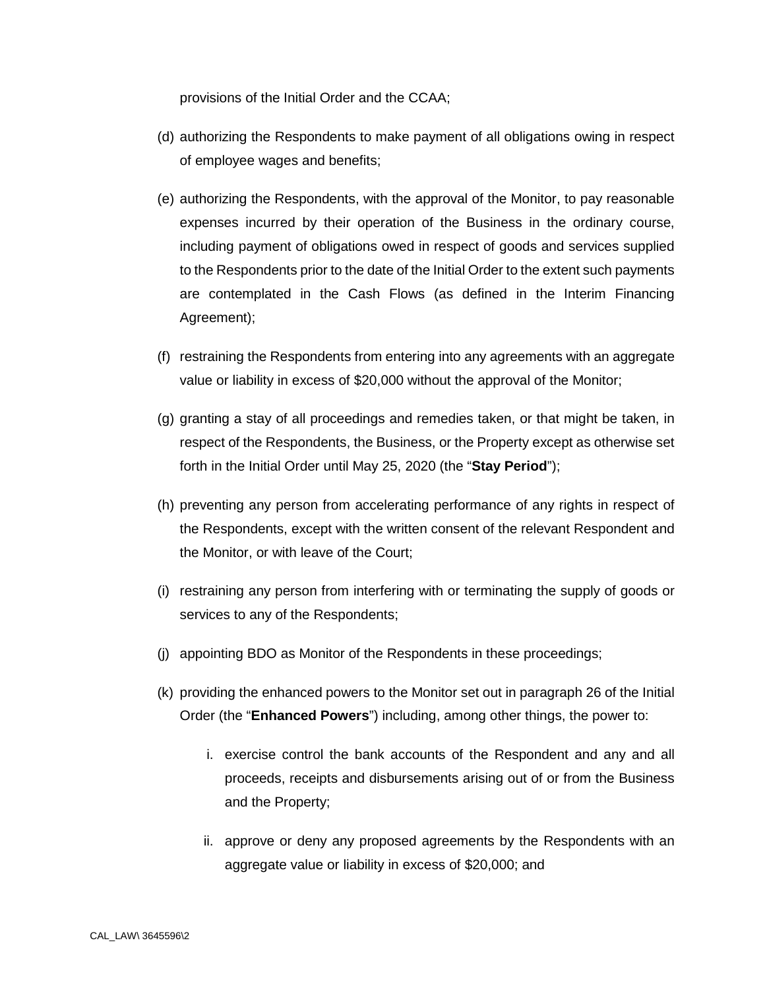provisions of the Initial Order and the CCAA;

- (d) authorizing the Respondents to make payment of all obligations owing in respect of employee wages and benefits;
- (e) authorizing the Respondents, with the approval of the Monitor, to pay reasonable expenses incurred by their operation of the Business in the ordinary course, including payment of obligations owed in respect of goods and services supplied to the Respondents prior to the date of the Initial Order to the extent such payments are contemplated in the Cash Flows (as defined in the Interim Financing Agreement);
- (f) restraining the Respondents from entering into any agreements with an aggregate value or liability in excess of \$20,000 without the approval of the Monitor;
- (g) granting a stay of all proceedings and remedies taken, or that might be taken, in respect of the Respondents, the Business, or the Property except as otherwise set forth in the Initial Order until May 25, 2020 (the "**Stay Period**");
- (h) preventing any person from accelerating performance of any rights in respect of the Respondents, except with the written consent of the relevant Respondent and the Monitor, or with leave of the Court;
- (i) restraining any person from interfering with or terminating the supply of goods or services to any of the Respondents;
- (j) appointing BDO as Monitor of the Respondents in these proceedings;
- (k) providing the enhanced powers to the Monitor set out in paragraph 26 of the Initial Order (the "**Enhanced Powers**") including, among other things, the power to:
	- i. exercise control the bank accounts of the Respondent and any and all proceeds, receipts and disbursements arising out of or from the Business and the Property;
	- ii. approve or deny any proposed agreements by the Respondents with an aggregate value or liability in excess of \$20,000; and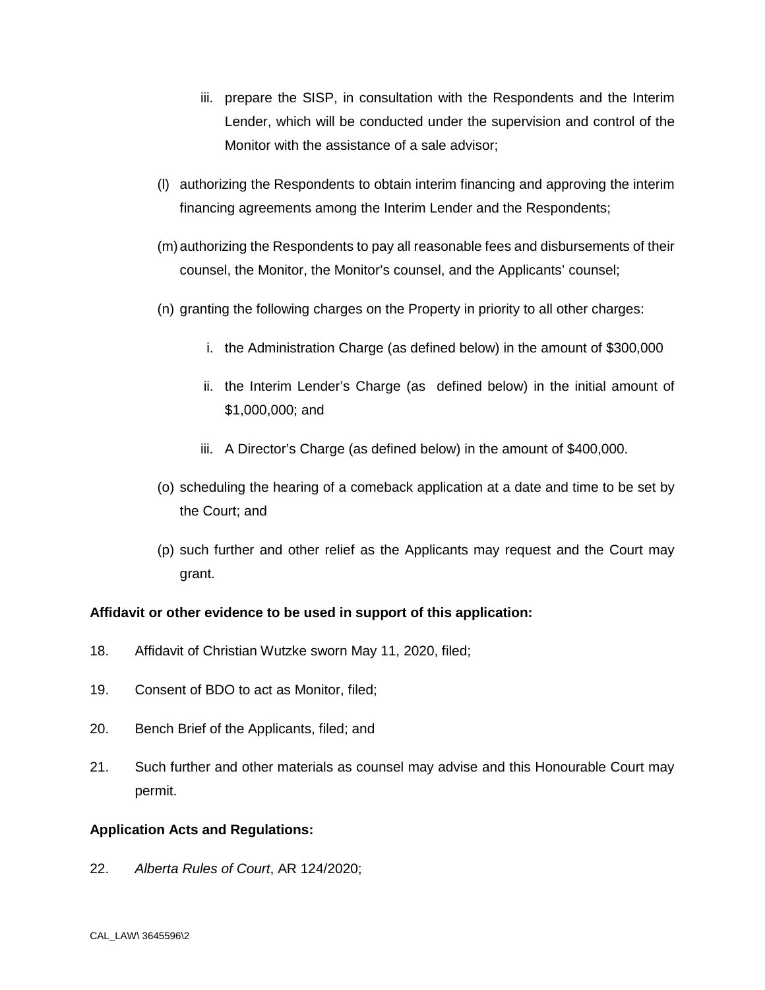- iii. prepare the SISP, in consultation with the Respondents and the Interim Lender, which will be conducted under the supervision and control of the Monitor with the assistance of a sale advisor;
- (l) authorizing the Respondents to obtain interim financing and approving the interim financing agreements among the Interim Lender and the Respondents;
- (m) authorizing the Respondents to pay all reasonable fees and disbursements of their counsel, the Monitor, the Monitor's counsel, and the Applicants' counsel;
- (n) granting the following charges on the Property in priority to all other charges:
	- i. the Administration Charge (as defined below) in the amount of \$300,000
	- ii. the Interim Lender's Charge (as defined below) in the initial amount of \$1,000,000; and
	- iii. A Director's Charge (as defined below) in the amount of \$400,000.
- (o) scheduling the hearing of a comeback application at a date and time to be set by the Court; and
- (p) such further and other relief as the Applicants may request and the Court may grant.

# **Affidavit or other evidence to be used in support of this application:**

- 18. Affidavit of Christian Wutzke sworn May 11, 2020, filed;
- 19. Consent of BDO to act as Monitor, filed;
- 20. Bench Brief of the Applicants, filed; and
- 21. Such further and other materials as counsel may advise and this Honourable Court may permit.

### **Application Acts and Regulations:**

22. *Alberta Rules of Court*, AR 124/2020;